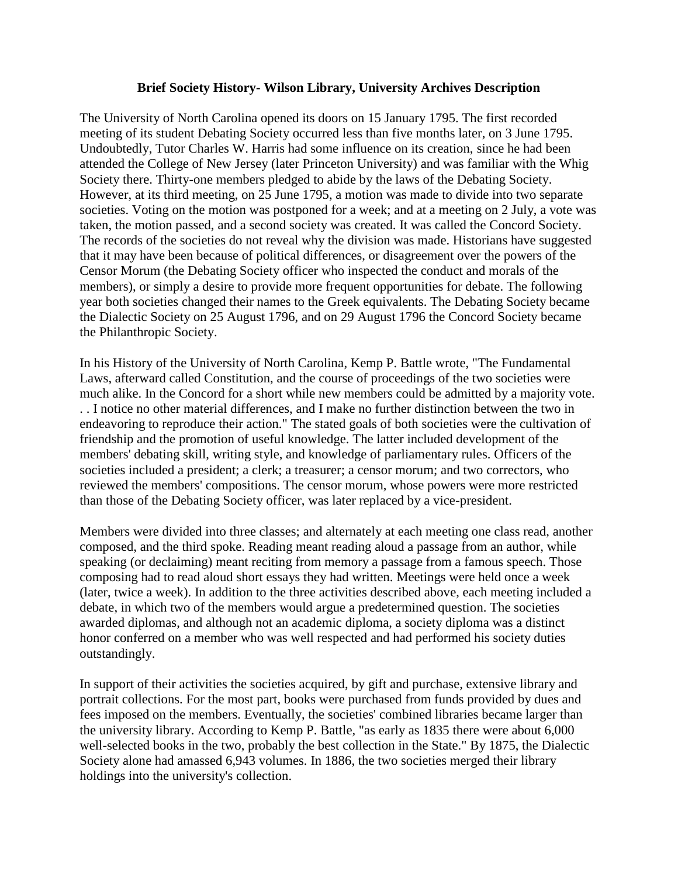## **Brief Society History- Wilson Library, University Archives Description**

The University of North Carolina opened its doors on 15 January 1795. The first recorded meeting of its student Debating Society occurred less than five months later, on 3 June 1795. Undoubtedly, Tutor Charles W. Harris had some influence on its creation, since he had been attended the College of New Jersey (later Princeton University) and was familiar with the Whig Society there. Thirty-one members pledged to abide by the laws of the Debating Society. However, at its third meeting, on 25 June 1795, a motion was made to divide into two separate societies. Voting on the motion was postponed for a week; and at a meeting on 2 July, a vote was taken, the motion passed, and a second society was created. It was called the Concord Society. The records of the societies do not reveal why the division was made. Historians have suggested that it may have been because of political differences, or disagreement over the powers of the Censor Morum (the Debating Society officer who inspected the conduct and morals of the members), or simply a desire to provide more frequent opportunities for debate. The following year both societies changed their names to the Greek equivalents. The Debating Society became the Dialectic Society on 25 August 1796, and on 29 August 1796 the Concord Society became the Philanthropic Society.

In his History of the University of North Carolina, Kemp P. Battle wrote, "The Fundamental Laws, afterward called Constitution, and the course of proceedings of the two societies were much alike. In the Concord for a short while new members could be admitted by a majority vote. . . I notice no other material differences, and I make no further distinction between the two in endeavoring to reproduce their action." The stated goals of both societies were the cultivation of friendship and the promotion of useful knowledge. The latter included development of the members' debating skill, writing style, and knowledge of parliamentary rules. Officers of the societies included a president; a clerk; a treasurer; a censor morum; and two correctors, who reviewed the members' compositions. The censor morum, whose powers were more restricted than those of the Debating Society officer, was later replaced by a vice-president.

Members were divided into three classes; and alternately at each meeting one class read, another composed, and the third spoke. Reading meant reading aloud a passage from an author, while speaking (or declaiming) meant reciting from memory a passage from a famous speech. Those composing had to read aloud short essays they had written. Meetings were held once a week (later, twice a week). In addition to the three activities described above, each meeting included a debate, in which two of the members would argue a predetermined question. The societies awarded diplomas, and although not an academic diploma, a society diploma was a distinct honor conferred on a member who was well respected and had performed his society duties outstandingly.

In support of their activities the societies acquired, by gift and purchase, extensive library and portrait collections. For the most part, books were purchased from funds provided by dues and fees imposed on the members. Eventually, the societies' combined libraries became larger than the university library. According to Kemp P. Battle, "as early as 1835 there were about 6,000 well-selected books in the two, probably the best collection in the State." By 1875, the Dialectic Society alone had amassed 6,943 volumes. In 1886, the two societies merged their library holdings into the university's collection.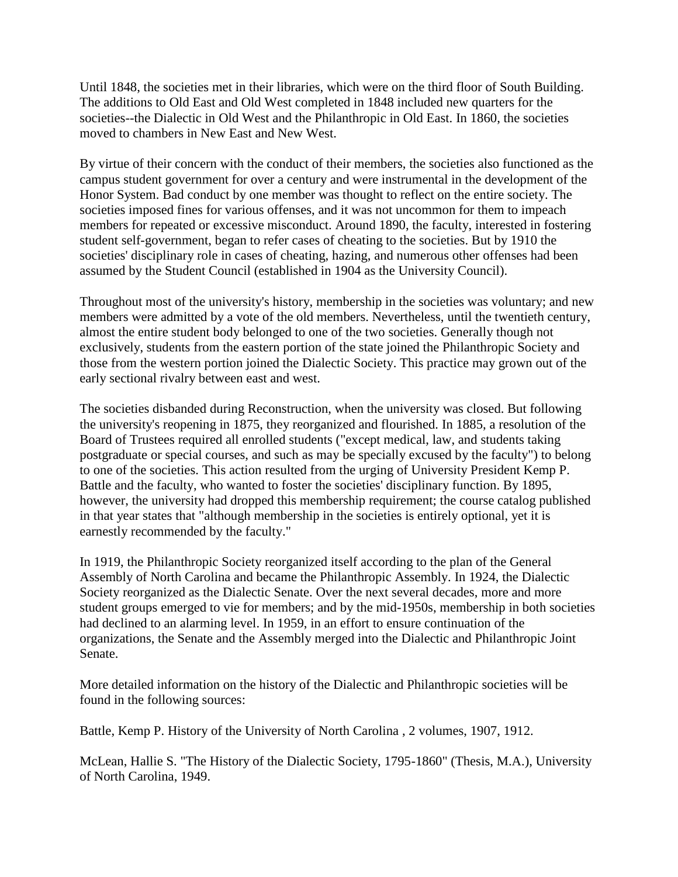Until 1848, the societies met in their libraries, which were on the third floor of South Building. The additions to Old East and Old West completed in 1848 included new quarters for the societies--the Dialectic in Old West and the Philanthropic in Old East. In 1860, the societies moved to chambers in New East and New West.

By virtue of their concern with the conduct of their members, the societies also functioned as the campus student government for over a century and were instrumental in the development of the Honor System. Bad conduct by one member was thought to reflect on the entire society. The societies imposed fines for various offenses, and it was not uncommon for them to impeach members for repeated or excessive misconduct. Around 1890, the faculty, interested in fostering student self-government, began to refer cases of cheating to the societies. But by 1910 the societies' disciplinary role in cases of cheating, hazing, and numerous other offenses had been assumed by the Student Council (established in 1904 as the University Council).

Throughout most of the university's history, membership in the societies was voluntary; and new members were admitted by a vote of the old members. Nevertheless, until the twentieth century, almost the entire student body belonged to one of the two societies. Generally though not exclusively, students from the eastern portion of the state joined the Philanthropic Society and those from the western portion joined the Dialectic Society. This practice may grown out of the early sectional rivalry between east and west.

The societies disbanded during Reconstruction, when the university was closed. But following the university's reopening in 1875, they reorganized and flourished. In 1885, a resolution of the Board of Trustees required all enrolled students ("except medical, law, and students taking postgraduate or special courses, and such as may be specially excused by the faculty") to belong to one of the societies. This action resulted from the urging of University President Kemp P. Battle and the faculty, who wanted to foster the societies' disciplinary function. By 1895, however, the university had dropped this membership requirement; the course catalog published in that year states that "although membership in the societies is entirely optional, yet it is earnestly recommended by the faculty."

In 1919, the Philanthropic Society reorganized itself according to the plan of the General Assembly of North Carolina and became the Philanthropic Assembly. In 1924, the Dialectic Society reorganized as the Dialectic Senate. Over the next several decades, more and more student groups emerged to vie for members; and by the mid-1950s, membership in both societies had declined to an alarming level. In 1959, in an effort to ensure continuation of the organizations, the Senate and the Assembly merged into the Dialectic and Philanthropic Joint Senate.

More detailed information on the history of the Dialectic and Philanthropic societies will be found in the following sources:

Battle, Kemp P. History of the University of North Carolina , 2 volumes, 1907, 1912.

McLean, Hallie S. "The History of the Dialectic Society, 1795-1860" (Thesis, M.A.), University of North Carolina, 1949.